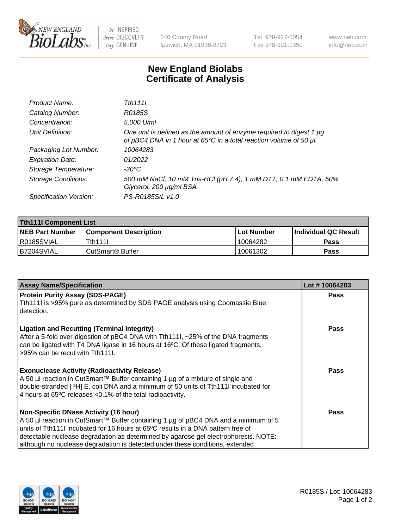

 $be$  INSPIRED drive DISCOVERY stay GENUINE

240 County Road Ipswich, MA 01938-2723 Tel 978-927-5054 Fax 978-921-1350 www.neb.com info@neb.com

## **New England Biolabs Certificate of Analysis**

| Product Name:              | Tth 1111                                                                                                                                  |
|----------------------------|-------------------------------------------------------------------------------------------------------------------------------------------|
| Catalog Number:            | R0185S                                                                                                                                    |
| Concentration:             | 5,000 U/ml                                                                                                                                |
| Unit Definition:           | One unit is defined as the amount of enzyme required to digest 1 µg<br>of pBC4 DNA in 1 hour at 65°C in a total reaction volume of 50 µl. |
| Packaging Lot Number:      | 10064283                                                                                                                                  |
| <b>Expiration Date:</b>    | 01/2022                                                                                                                                   |
| Storage Temperature:       | -20°C                                                                                                                                     |
| <b>Storage Conditions:</b> | 500 mM NaCl, 10 mM Tris-HCl (pH 7.4), 1 mM DTT, 0.1 mM EDTA, 50%<br>Glycerol, 200 µg/ml BSA                                               |
| Specification Version:     | PS-R0185S/L v1.0                                                                                                                          |

| <b>Tth111I Component List</b> |                         |             |                             |  |  |
|-------------------------------|-------------------------|-------------|-----------------------------|--|--|
| <b>NEB Part Number</b>        | l Component Description | ⊺Lot Number | <b>Individual QC Result</b> |  |  |
| R0185SVIAL                    | Tth111I                 | 10064282    | Pass                        |  |  |
| IB7204SVIAL                   | l CutSmart® Buffer_     | 10061302    | Pass                        |  |  |

| <b>Assay Name/Specification</b>                                                                                                                                                                                                                                                                                                                                                                 | Lot #10064283 |
|-------------------------------------------------------------------------------------------------------------------------------------------------------------------------------------------------------------------------------------------------------------------------------------------------------------------------------------------------------------------------------------------------|---------------|
| <b>Protein Purity Assay (SDS-PAGE)</b><br>Tth111I is >95% pure as determined by SDS PAGE analysis using Coomassie Blue<br>detection.                                                                                                                                                                                                                                                            | Pass          |
| <b>Ligation and Recutting (Terminal Integrity)</b><br>After a 5-fold over-digestion of pBC4 DNA with Tth111I, ~25% of the DNA fragments<br>can be ligated with T4 DNA ligase in 16 hours at 16°C. Of these ligated fragments,<br>>95% can be recut with Tth111.                                                                                                                                 | <b>Pass</b>   |
| <b>Exonuclease Activity (Radioactivity Release)</b><br>A 50 µl reaction in CutSmart™ Buffer containing 1 µg of a mixture of single and<br>double-stranded [3H] E. coli DNA and a minimum of 50 units of Tth111I incubated for<br>4 hours at 65°C releases < 0.1% of the total radioactivity.                                                                                                    | <b>Pass</b>   |
| <b>Non-Specific DNase Activity (16 hour)</b><br>A 50 µl reaction in CutSmart™ Buffer containing 1 µg of pBC4 DNA and a minimum of 5<br>units of Tth1111 incubated for 16 hours at 65°C results in a DNA pattern free of<br>detectable nuclease degradation as determined by agarose gel electrophoresis. NOTE:<br>although no nuclease degradation is detected under these conditions, extended | <b>Pass</b>   |